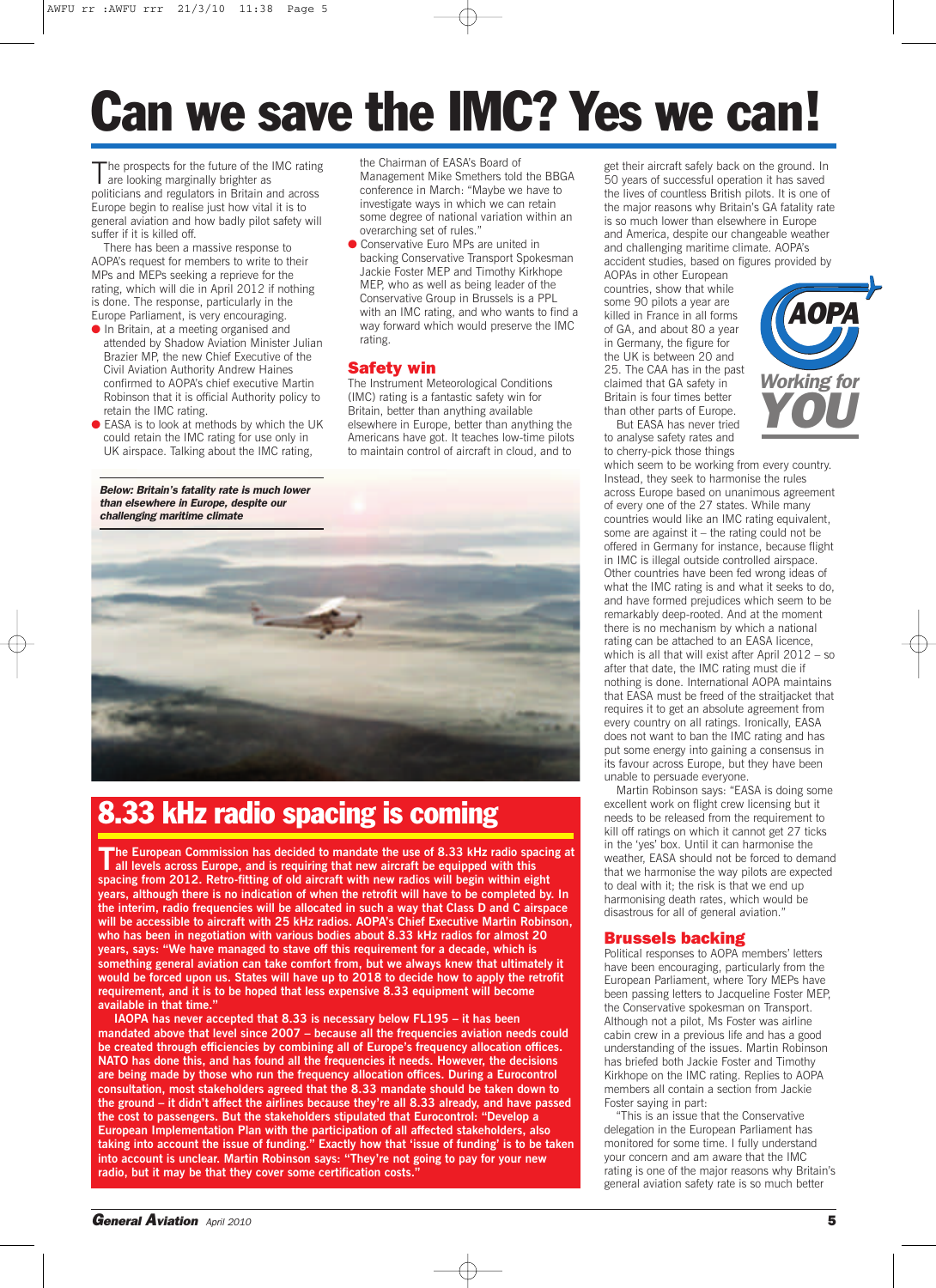# **Can we save the IMC? Yes we can!**

The prospects for the future of the IMC rating<br>are looking marginally brighter as politicians and regulators in Britain and across Europe begin to realise just how vital it is to general aviation and how badly pilot safety will suffer if it is killed off.

There has been a massive response to AOPA's request for members to write to their MPs and MEPs seeking a reprieve for the rating, which will die in April 2012 if nothing is done. The response, particularly in the Europe Parliament, is very encouraging.

- In Britain, at a meeting organised and attended by Shadow Aviation Minister Julian Brazier MP, the new Chief Executive of the Civil Aviation Authority Andrew Haines confirmed to AOPA's chief executive Martin Robinson that it is official Authority policy to retain the IMC rating.
- EASA is to look at methods by which the UK could retain the IMC rating for use only in UK airspace. Talking about the IMC rating,

*Below: Britain's fatality rate is much lower than elsewhere in Europe, despite our challenging maritime climate*

the Chairman of EASA's Board of Management Mike Smethers told the BBGA conference in March: "Maybe we have to investigate ways in which we can retain some degree of national variation within an overarching set of rules."

● Conservative Euro MPs are united in backing Conservative Transport Spokesman Jackie Foster MEP and Timothy Kirkhope MEP, who as well as being leader of the Conservative Group in Brussels is a PPL with an IMC rating, and who wants to find a way forward which would preserve the IMC rating.

### **Safety win**

The Instrument Meteorological Conditions (IMC) rating is a fantastic safety win for Britain, better than anything available elsewhere in Europe, better than anything the Americans have got. It teaches low-time pilots to maintain control of aircraft in cloud, and to



## **8.33 kHz radio spacing is coming**

**The European Commission has decided to mandate the use of 8.33 kHz radio spacing at all levels across Europe, and is requiring that new aircraft be equipped with this spacing from 2012. Retro-fitting of old aircraft with new radios will begin within eight years, although there is no indication of when the retrofit will have to be completed by. In the interim, radio frequencies will be allocated in such a way that Class D and C airspace will be accessible to aircraft with 25 kHz radios. AOPA's Chief Executive Martin Robinson, who has been in negotiation with various bodies about 8.33 kHz radios for almost 20 years, says: "We have managed to stave off this requirement for a decade, which is something general aviation can take comfort from, but we always knew that ultimately it would be forced upon us. States will have up to 2018 to decide how to apply the retrofit requirement, and it is to be hoped that less expensive 8.33 equipment will become available in that time."**

**IAOPA has never accepted that 8.33 is necessary below FL195 – it has been mandated above that level since 2007 – because all the frequencies aviation needs could be created through efficiencies by combining all of Europe's frequency allocation offices. NATO has done this, and has found all the frequencies it needs. However, the decisions are being made by those who run the frequency allocation offices. During a Eurocontrol consultation, most stakeholders agreed that the 8.33 mandate should be taken down to the ground – it didn't affect the airlines because they're all 8.33 already, and have passed the cost to passengers. But the stakeholders stipulated that Eurocontrol: "Develop a European Implementation Plan with the participation of all affected stakeholders, also taking into account the issue of funding." Exactly how that 'issue of funding' is to be taken into account is unclear. Martin Robinson says: "They're not going to pay for your new radio, but it may be that they cover some certification costs."**

get their aircraft safely back on the ground. In 50 years of successful operation it has saved the lives of countless British pilots. It is one of the major reasons why Britain's GA fatality rate is so much lower than elsewhere in Europe and America, despite our changeable weather and challenging maritime climate. AOPA's accident studies, based on figures provided by

AOPAs in other European countries, show that while some 90 pilots a year are killed in France in all forms of GA, and about 80 a year in Germany, the figure for the UK is between 20 and 25. The CAA has in the past claimed that GA safety in Britain is four times better than other parts of Europe.

But EASA has never tried to analyse safety rates and to cherry-pick those things



which seem to be working from every country. Instead, they seek to harmonise the rules across Europe based on unanimous agreement of every one of the 27 states. While many countries would like an IMC rating equivalent, some are against it – the rating could not be offered in Germany for instance, because flight in IMC is illegal outside controlled airspace. Other countries have been fed wrong ideas of what the IMC rating is and what it seeks to do, and have formed prejudices which seem to be remarkably deep-rooted. And at the moment there is no mechanism by which a national rating can be attached to an EASA licence, which is all that will exist after April 2012 – so after that date, the IMC rating must die if nothing is done. International AOPA maintains that EASA must be freed of the straitjacket that requires it to get an absolute agreement from every country on all ratings. Ironically, EASA does not want to ban the IMC rating and has put some energy into gaining a consensus in its favour across Europe, but they have been unable to persuade everyone.

Martin Robinson says: "EASA is doing some excellent work on flight crew licensing but it needs to be released from the requirement to kill off ratings on which it cannot get 27 ticks in the 'yes' box. Until it can harmonise the weather, EASA should not be forced to demand that we harmonise the way pilots are expected to deal with it; the risk is that we end up harmonising death rates, which would be disastrous for all of general aviation."

### **Brussels backing**

Political responses to AOPA members' letters have been encouraging, particularly from the European Parliament, where Tory MEPs have been passing letters to Jacqueline Foster MEP, the Conservative spokesman on Transport. Although not a pilot, Ms Foster was airline cabin crew in a previous life and has a good understanding of the issues. Martin Robinson has briefed both Jackie Foster and Timothy Kirkhope on the IMC rating. Replies to AOPA members all contain a section from Jackie Foster saying in part:

"This is an issue that the Conservative delegation in the European Parliament has monitored for some time. I fully understand your concern and am aware that the IMC rating is one of the major reasons why Britain's general aviation safety rate is so much better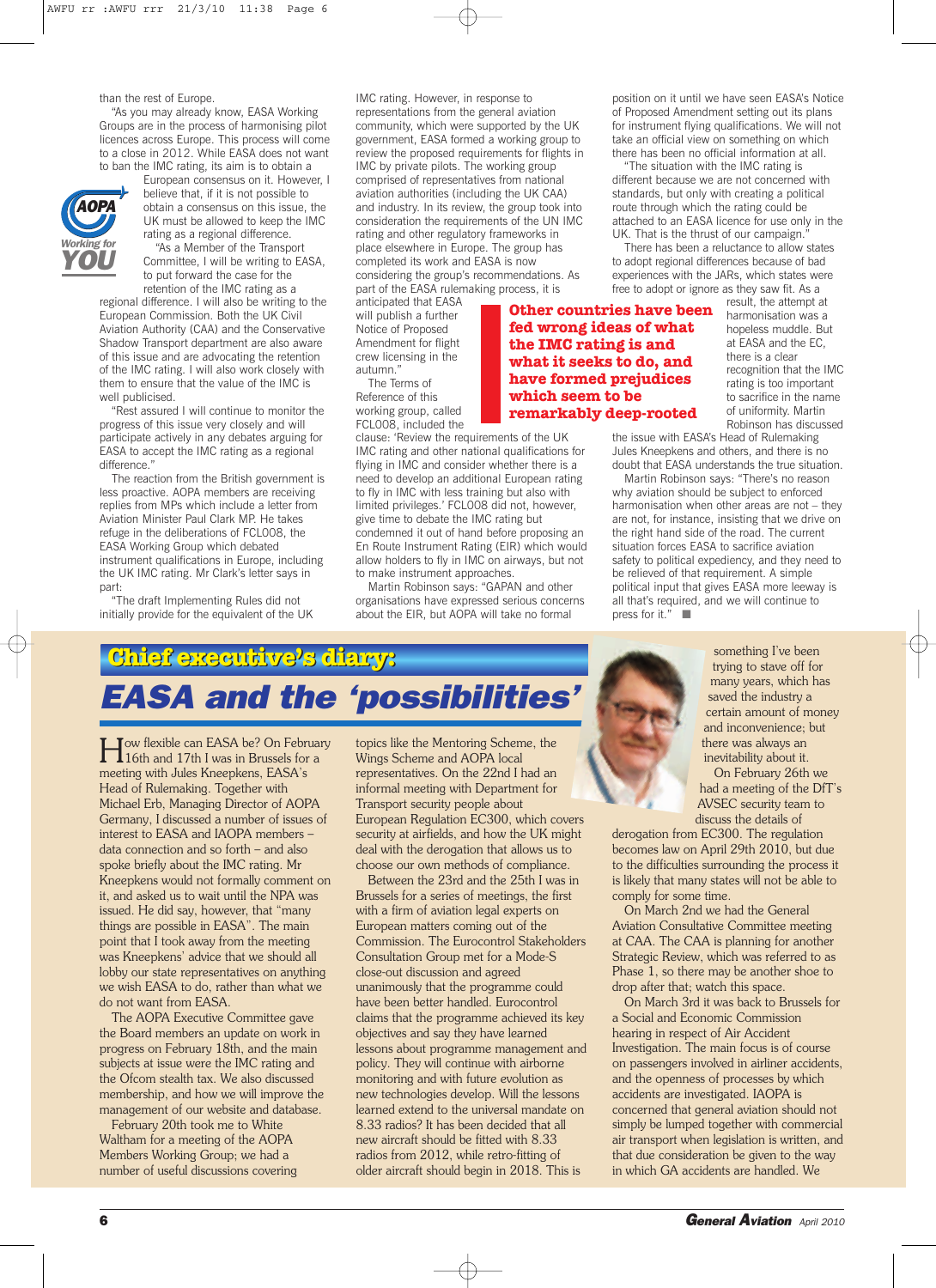#### than the rest of Europe.

"As you may already know, EASA Working Groups are in the process of harmonising pilot licences across Europe. This process will come to a close in 2012. While EASA does not want to ban the IMC rating, its aim is to obtain a



European consensus on it. However, I believe that, if it is not possible to obtain a consensus on this issue, the UK must be allowed to keep the IMC

rating as a regional difference. "As a Member of the Transport Committee, I will be writing to EASA, to put forward the case for the

retention of the IMC rating as a regional difference. I will also be writing to the European Commission. Both the UK Civil Aviation Authority (CAA) and the Conservative Shadow Transport department are also aware of this issue and are advocating the retention of the IMC rating. I will also work closely with them to ensure that the value of the IMC is well publicised.

"Rest assured I will continue to monitor the progress of this issue very closely and will participate actively in any debates arguing for EASA to accept the IMC rating as a regional difference."

The reaction from the British government is less proactive. AOPA members are receiving replies from MPs which include a letter from Aviation Minister Paul Clark MP. He takes refuge in the deliberations of FCL008, the EASA Working Group which debated instrument qualifications in Europe, including the UK IMC rating. Mr Clark's letter says in part:

"The draft Implementing Rules did not initially provide for the equivalent of the UK IMC rating. However, in response to representations from the general aviation community, which were supported by the UK government, EASA formed a working group to review the proposed requirements for flights in IMC by private pilots. The working group comprised of representatives from national aviation authorities (including the UK CAA) and industry. In its review, the group took into consideration the requirements of the UN IMC rating and other regulatory frameworks in place elsewhere in Europe. The group has completed its work and EASA is now considering the group's recommendations. As part of the EASA rulemaking process, it is

anticipated that EASA will publish a further Notice of Proposed Amendment for flight crew licensing in the autumn."

The Terms of Reference of this working group, called FCL008, included the

clause: 'Review the requirements of the UK IMC rating and other national qualifications for flying in IMC and consider whether there is a need to develop an additional European rating to fly in IMC with less training but also with limited privileges.' FCL008 did not, however, give time to debate the IMC rating but condemned it out of hand before proposing an En Route Instrument Rating (EIR) which would allow holders to fly in IMC on airways, but not to make instrument approaches.

Martin Robinson says: "GAPAN and other organisations have expressed serious concerns about the EIR, but AOPA will take no formal

position on it until we have seen EASA's Notice of Proposed Amendment setting out its plans for instrument flying qualifications. We will not take an official view on something on which there has been no official information at all.

The situation with the IMC rating is different because we are not concerned with standards, but only with creating a political route through which the rating could be attached to an EASA licence for use only in the UK. That is the thrust of our campaign.'

There has been a reluctance to allow states to adopt regional differences because of bad experiences with the JARs, which states were free to adopt or ignore as they saw fit. As a

**Other countries have been fed wrong ideas of what the IMC rating is and what it seeks to do, and have formed prejudices which seem to be remarkably deep-rooted**

result, the attempt at harmonisation was a hopeless muddle. But at EASA and the EC, there is a clear recognition that the IMC rating is too important to sacrifice in the name of uniformity. Martin Robinson has discussed

the issue with EASA's Head of Rulemaking Jules Kneepkens and others, and there is no doubt that EASA understands the true situation.

Martin Robinson says: "There's no reason why aviation should be subject to enforced harmonisation when other areas are not – they are not, for instance, insisting that we drive on the right hand side of the road. The current situation forces EASA to sacrifice aviation safety to political expediency, and they need to be relieved of that requirement. A simple political input that gives EASA more leeway is all that's required, and we will continue to press for it." ■

# **Chief executi executive's diary:** *EASA and the 'possibilities'*

How flexible can EASA be? On February 16th and 17th I was in Brussels for a meeting with Jules Kneepkens, EASA's Head of Rulemaking. Together with Michael Erb, Managing Director of AOPA Germany, I discussed a number of issues of interest to EASA and IAOPA members – data connection and so forth – and also spoke briefly about the IMC rating. Mr Kneepkens would not formally comment on it, and asked us to wait until the NPA was issued. He did say, however, that "many things are possible in EASA". The main point that I took away from the meeting was Kneepkens' advice that we should all lobby our state representatives on anything we wish EASA to do, rather than what we do not want from EASA.

The AOPA Executive Committee gave the Board members an update on work in progress on February 18th, and the main subjects at issue were the IMC rating and the Ofcom stealth tax. We also discussed membership, and how we will improve the management of our website and database.

February 20th took me to White Waltham for a meeting of the AOPA Members Working Group; we had a number of useful discussions covering topics like the Mentoring Scheme, the Wings Scheme and AOPA local representatives. On the 22nd I had an informal meeting with Department for Transport security people about European Regulation EC300, which covers security at airfields, and how the UK might deal with the derogation that allows us to choose our own methods of compliance.

Between the 23rd and the 25th I was in Brussels for a series of meetings, the first with a firm of aviation legal experts on European matters coming out of the Commission. The Eurocontrol Stakeholders Consultation Group met for a Mode-S close-out discussion and agreed unanimously that the programme could have been better handled. Eurocontrol claims that the programme achieved its key objectives and say they have learned lessons about programme management and policy. They will continue with airborne monitoring and with future evolution as new technologies develop. Will the lessons learned extend to the universal mandate on 8.33 radios? It has been decided that all new aircraft should be fitted with 8.33 radios from 2012, while retro-fitting of older aircraft should begin in 2018. This is

something I've been trying to stave off for many years, which has saved the industry a certain amount of money and inconvenience; but there was always an inevitability about it. On February 26th we

had a meeting of the DfT's AVSEC security team to discuss the details of

derogation from EC300. The regulation becomes law on April 29th 2010, but due to the difficulties surrounding the process it is likely that many states will not be able to comply for some time.

On March 2nd we had the General Aviation Consultative Committee meeting at CAA. The CAA is planning for another Strategic Review, which was referred to as Phase 1, so there may be another shoe to drop after that; watch this space.

On March 3rd it was back to Brussels for a Social and Economic Commission hearing in respect of Air Accident Investigation. The main focus is of course on passengers involved in airliner accidents, and the openness of processes by which accidents are investigated. IAOPA is concerned that general aviation should not simply be lumped together with commercial air transport when legislation is written, and that due consideration be given to the way in which GA accidents are handled. We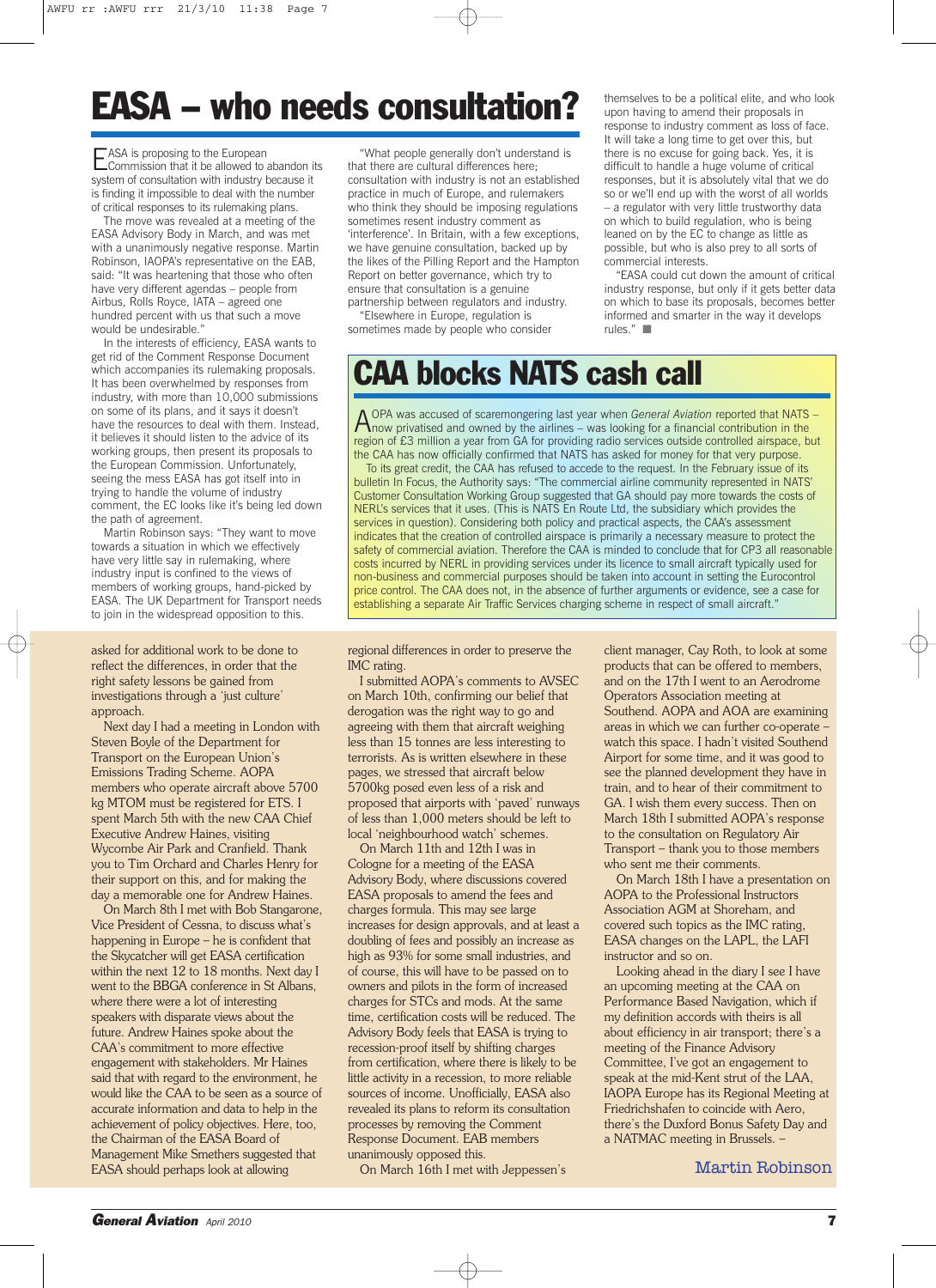# **EASA -who needs consultation?**

EASA is proposing to the European<br>Commission that it be allowed to abandon its system of consultation with industry because it is finding it impossible to deal with the number of critical responses to its rulemaking plans.

The move was revealed at a meeting of the EASA Advisory Body in March, and was met with a unanimously negative response. Martin Robinson, IAOPA's representative on the EAB, said: "It was heartening that those who often have very different agendas – people from Airbus, Rolls Royce, IATA – agreed one hundred percent with us that such a move would be undesirable."

In the interests of efficiency, EASA wants to get rid of the Comment Response Document which accompanies its rulemaking proposals. It has been overwhelmed by responses from industry, with more than 10,000 submissions on some of its plans, and it says it doesn't have the resources to deal with them. Instead, it believes it should listen to the advice of its working groups, then present its proposals to the European Commission. Unfortunately, seeing the mess EASA has got itself into in trying to handle the volume of industry comment, the EC looks like it's being led down the path of agreement.

Martin Robinson says: "They want to move towards a situation in which we effectively have very little say in rulemaking, where industry input is confined to the views of members of working groups, hand-picked by EASA. The UK Department for Transport needs to join in the widespread opposition to this.

asked for additional work to be done to reflect the differences, in order that the right safety lessons be gained from investigations through a 'just culture' approach.

Next day I had a meeting in London with Steven Boyle of the Department for Transport on the European Union's Emissions Trading Scheme. AOPA members who operate aircraft above 5700 kg MTOM must be registered for ETS. I spent March 5th with the new CAA Chief Executive Andrew Haines, visiting Wycombe Air Park and Cranfield. Thank you to Tim Orchard and Charles Henry for their support on this, and for making the day a memorable one for Andrew Haines.

On March 8th I met with Bob Stangarone, Vice President of Cessna, to discuss what's happening in Europe – he is confident that the Skycatcher will get EASA certification within the next 12 to 18 months. Next day I went to the BBGA conference in St Albans, where there were a lot of interesting speakers with disparate views about the future. Andrew Haines spoke about the CAA's commitment to more effective engagement with stakeholders. Mr Haines said that with regard to the environment, he would like the CAA to be seen as a source of accurate information and data to help in the achievement of policy objectives. Here, too, the Chairman of the EASA Board of Management Mike Smethers suggested that EASA should perhaps look at allowing

"What people generally don't understand is that there are cultural differences here; consultation with industry is not an established practice in much of Europe, and rulemakers who think they should be imposing regulations sometimes resent industry comment as 'interference'. In Britain, with a few exceptions, we have genuine consultation, backed up by the likes of the Pilling Report and the Hampton Report on better governance, which try to ensure that consultation is a genuine partnership between regulators and industry.

"Elsewhere in Europe, regulation is sometimes made by people who consider

themselves to be a political elite, and who look upon having to amend their proposals in response to industry comment as loss of face. It will take a long time to get over this, but there is no excuse for going back. Yes, it is difficult to handle a huge volume of critical responses, but it is absolutely vital that we do so or we'll end up with the worst of all worlds – a regulator with very little trustworthy data on which to build regulation, who is being leaned on by the EC to change as little as possible, but who is also prey to all sorts of commercial interests.

"EASA could cut down the amount of critical industry response, but only if it gets better data on which to base its proposals, becomes better informed and smarter in the way it develops rules." ■

# **CAA blocks NATS cash call**

A OPA was accused of scaremongering last year when *General Aviation* reported that NATS –<br>how privatised and owned by the airlines – was looking for a financial contribution in the region of £3 million a year from GA for providing radio services outside controlled airspace, but the CAA has now officially confirmed that NATS has asked for money for that very purpose.

To its great credit, the CAA has refused to accede to the request. In the February issue of its bulletin In Focus, the Authority says: "The commercial airline community represented in NATS' Customer Consultation Working Group suggested that GA should pay more towards the costs of NERL's services that it uses. (This is NATS En Route Ltd, the subsidiary which provides the services in question). Considering both policy and practical aspects, the CAA's assessment indicates that the creation of controlled airspace is primarily a necessary measure to protect the safety of commercial aviation. Therefore the CAA is minded to conclude that for CP3 all reasonable costs incurred by NERL in providing services under its licence to small aircraft typically used for non-business and commercial purposes should be taken into account in setting the Eurocontrol price control. The CAA does not, in the absence of further arguments or evidence, see a case for establishing a separate Air Traffic Services charging scheme in respect of small aircraft.

regional differences in order to preserve the IMC rating.

I submitted AOPA's comments to AVSEC on March 10th, confirming our belief that derogation was the right way to go and agreeing with them that aircraft weighing less than 15 tonnes are less interesting to terrorists. As is written elsewhere in these pages, we stressed that aircraft below 5700kg posed even less of a risk and proposed that airports with 'paved' runways of less than 1,000 meters should be left to local 'neighbourhood watch' schemes.

On March 11th and 12th I was in Cologne for a meeting of the EASA Advisory Body, where discussions covered EASA proposals to amend the fees and charges formula. This may see large increases for design approvals, and at least a doubling of fees and possibly an increase as high as 93% for some small industries, and of course, this will have to be passed on to owners and pilots in the form of increased charges for STCs and mods. At the same time, certification costs will be reduced. The Advisory Body feels that EASA is trying to recession-proof itself by shifting charges from certification, where there is likely to be little activity in a recession, to more reliable sources of income. Unofficially, EASA also revealed its plans to reform its consultation processes by removing the Comment Response Document. EAB members unanimously opposed this.

On March 16th I met with Jeppessen's

client manager, Cay Roth, to look at some products that can be offered to members, and on the 17th I went to an Aerodrome Operators Association meeting at Southend. AOPA and AOA are examining areas in which we can further co-operate – watch this space. I hadn't visited Southend Airport for some time, and it was good to see the planned development they have in train, and to hear of their commitment to GA. I wish them every success. Then on March 18th I submitted AOPA's response to the consultation on Regulatory Air Transport – thank you to those members who sent me their comments.

On March 18th I have a presentation on AOPA to the Professional Instructors Association AGM at Shoreham, and covered such topics as the IMC rating, EASA changes on the LAPL, the LAFI instructor and so on.

Looking ahead in the diary I see I have an upcoming meeting at the CAA on Performance Based Navigation, which if my definition accords with theirs is all about efficiency in air transport; there's a meeting of the Finance Advisory Committee, I've got an engagement to speak at the mid-Kent strut of the LAA, IAOPA Europe has its Regional Meeting at Friedrichshafen to coincide with Aero, there's the Duxford Bonus Safety Day and a NATMAC meeting in Brussels. –

Martin Robinson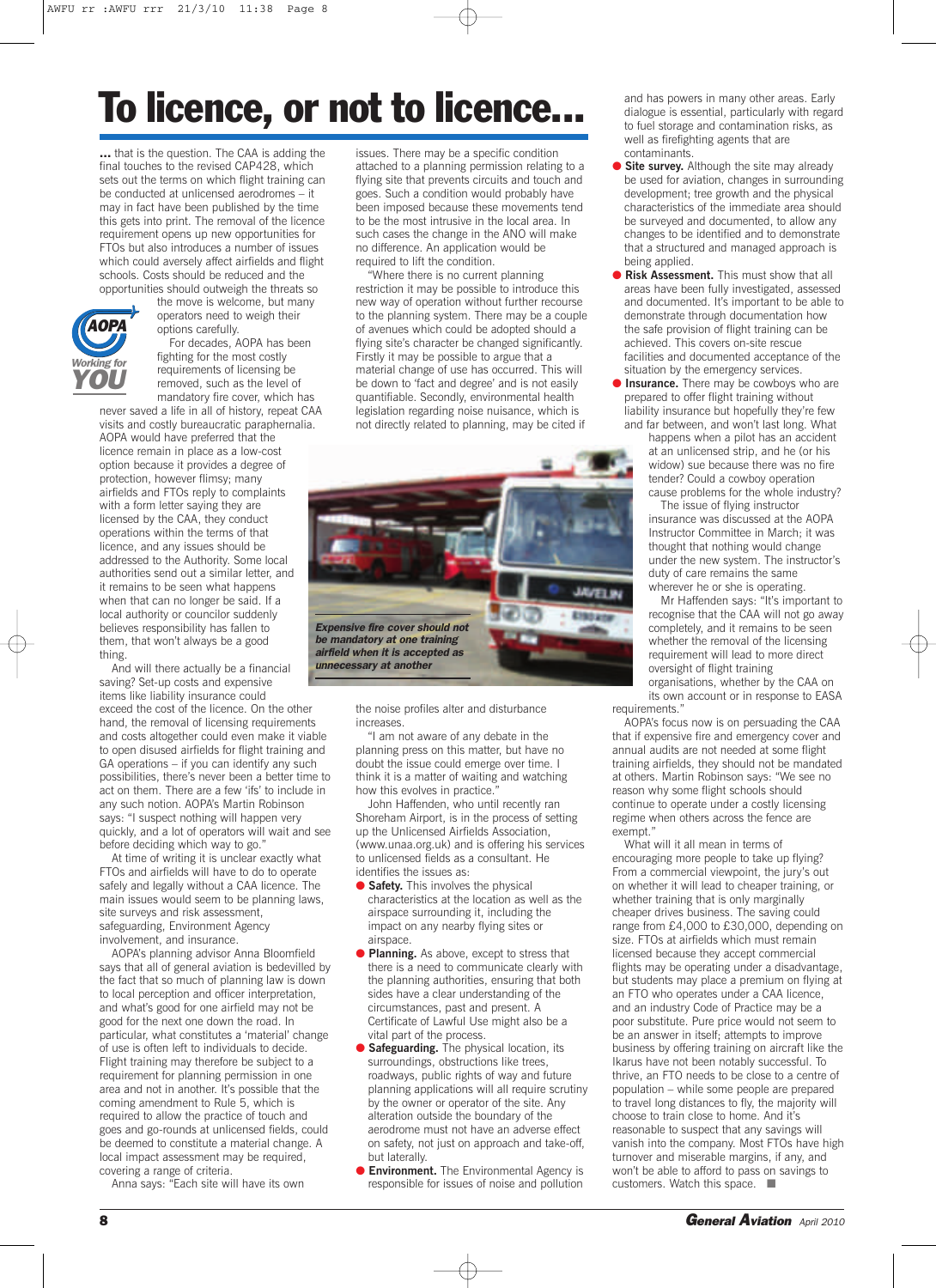# **To licence, or not to licence...**

**…** that is the question. The CAA is adding the final touches to the revised CAP428, which sets out the terms on which flight training can be conducted at unlicensed aerodromes – it may in fact have been published by the time this gets into print. The removal of the licence requirement opens up new opportunities for FTOs but also introduces a number of issues which could aversely affect airfields and flight schools. Costs should be reduced and the opportunities should outweigh the threats so



the move is welcome, but many operators need to weigh their options carefully. For decades, AOPA has been fighting for the most costly requirements of licensing be removed, such as the level of mandatory fire cover, which has never saved a life in all of history, repeat CAA

visits and costly bureaucratic paraphernalia. AOPA would have preferred that the licence remain in place as a low-cost option because it provides a degree of protection, however flimsy; many airfields and FTOs reply to complaints with a form letter saying they are licensed by the CAA, they conduct operations within the terms of that licence, and any issues should be addressed to the Authority. Some local authorities send out a similar letter, and it remains to be seen what happens when that can no longer be said. If a local authority or councilor suddenly believes responsibility has fallen to them, that won't always be a good thing.

And will there actually be a financial saving? Set-up costs and expensive items like liability insurance could exceed the cost of the licence. On the other hand, the removal of licensing requirements and costs altogether could even make it viable to open disused airfields for flight training and GA operations – if you can identify any such possibilities, there's never been a better time to act on them. There are a few 'ifs' to include in any such notion. AOPA's Martin Robinson says: "I suspect nothing will happen very quickly, and a lot of operators will wait and see before deciding which way to go."

At time of writing it is unclear exactly what FTOs and airfields will have to do to operate safely and legally without a CAA licence. The main issues would seem to be planning laws, site surveys and risk assessment, safeguarding, Environment Agency involvement, and insurance.

AOPA's planning advisor Anna Bloomfield says that all of general aviation is bedevilled by the fact that so much of planning law is down to local perception and officer interpretation, and what's good for one airfield may not be good for the next one down the road. In particular, what constitutes a 'material' change of use is often left to individuals to decide. Flight training may therefore be subject to a requirement for planning permission in one area and not in another. It's possible that the coming amendment to Rule 5, which is required to allow the practice of touch and goes and go-rounds at unlicensed fields, could be deemed to constitute a material change. A local impact assessment may be required, covering a range of criteria.

Anna says: "Each site will have its own

issues. There may be a specific condition attached to a planning permission relating to a flying site that prevents circuits and touch and goes. Such a condition would probably have been imposed because these movements tend to be the most intrusive in the local area. In such cases the change in the ANO will make no difference. An application would be required to lift the condition.

"Where there is no current planning restriction it may be possible to introduce this new way of operation without further recourse to the planning system. There may be a couple of avenues which could be adopted should a flying site's character be changed significantly. Firstly it may be possible to argue that a material change of use has occurred. This will be down to 'fact and degree' and is not easily quantifiable. Secondly, environmental health legislation regarding noise nuisance, which is not directly related to planning, may be cited if



the noise profiles alter and disturbance increases.

"I am not aware of any debate in the planning press on this matter, but have no doubt the issue could emerge over time. I think it is a matter of waiting and watching how this evolves in practice.

John Haffenden, who until recently ran Shoreham Airport, is in the process of setting up the Unlicensed Airfields Association, (www.unaa.org.uk) and is offering his services to unlicensed fields as a consultant. He identifies the issues as:

- **Safety.** This involves the physical characteristics at the location as well as the airspace surrounding it, including the impact on any nearby flying sites or airspace.
- **Planning.** As above, except to stress that there is a need to communicate clearly with the planning authorities, ensuring that both sides have a clear understanding of the circumstances, past and present. A Certificate of Lawful Use might also be a vital part of the process.
- **Safeguarding.** The physical location, its surroundings, obstructions like trees, roadways, public rights of way and future planning applications will all require scrutiny by the owner or operator of the site. Any alteration outside the boundary of the aerodrome must not have an adverse effect on safety, not just on approach and take-off, but laterally.
- **Environment.** The Environmental Agency is responsible for issues of noise and pollution

and has powers in many other areas. Early dialogue is essential, particularly with regard to fuel storage and contamination risks, as well as firefighting agents that are contaminants.

- **Site survey.** Although the site may already be used for aviation, changes in surrounding development; tree growth and the physical characteristics of the immediate area should be surveyed and documented, to allow any changes to be identified and to demonstrate that a structured and managed approach is being applied.
- **Risk Assessment.** This must show that all areas have been fully investigated, assessed and documented. It's important to be able to demonstrate through documentation how the safe provision of flight training can be achieved. This covers on-site rescue facilities and documented acceptance of the situation by the emergency services.
- **Insurance.** There may be cowboys who are prepared to offer flight training without liability insurance but hopefully they're few

and far between, and won't last long. What happens when a pilot has an accident at an unlicensed strip, and he (or his widow) sue because there was no fire tender? Could a cowboy operation cause problems for the whole industry?

The issue of flying instructor insurance was discussed at the AOPA Instructor Committee in March; it was thought that nothing would change under the new system. The instructor's duty of care remains the same wherever he or she is operating.

Mr Haffenden says: "It's important to recognise that the CAA will not go away completely, and it remains to be seen whether the removal of the licensing requirement will lead to more direct oversight of flight training organisations, whether by the CAA on its own account or in response to EASA

requirements."

AOPA's focus now is on persuading the CAA that if expensive fire and emergency cover and annual audits are not needed at some flight training airfields, they should not be mandated at others. Martin Robinson says: "We see no reason why some flight schools should continue to operate under a costly licensing regime when others across the fence are exempt

What will it all mean in terms of encouraging more people to take up flying? From a commercial viewpoint, the jury's out on whether it will lead to cheaper training, or whether training that is only marginally cheaper drives business. The saving could range from £4,000 to £30,000, depending on size. FTOs at airfields which must remain licensed because they accept commercial flights may be operating under a disadvantage, but students may place a premium on flying at an FTO who operates under a CAA licence, and an industry Code of Practice may be a poor substitute. Pure price would not seem to be an answer in itself; attempts to improve business by offering training on aircraft like the Ikarus have not been notably successful. To thrive, an FTO needs to be close to a centre of population – while some people are prepared to travel long distances to fly, the majority will choose to train close to home. And it's reasonable to suspect that any savings will vanish into the company. Most FTOs have high turnover and miserable margins, if any, and won't be able to afford to pass on savings to customers. Watch this space. ■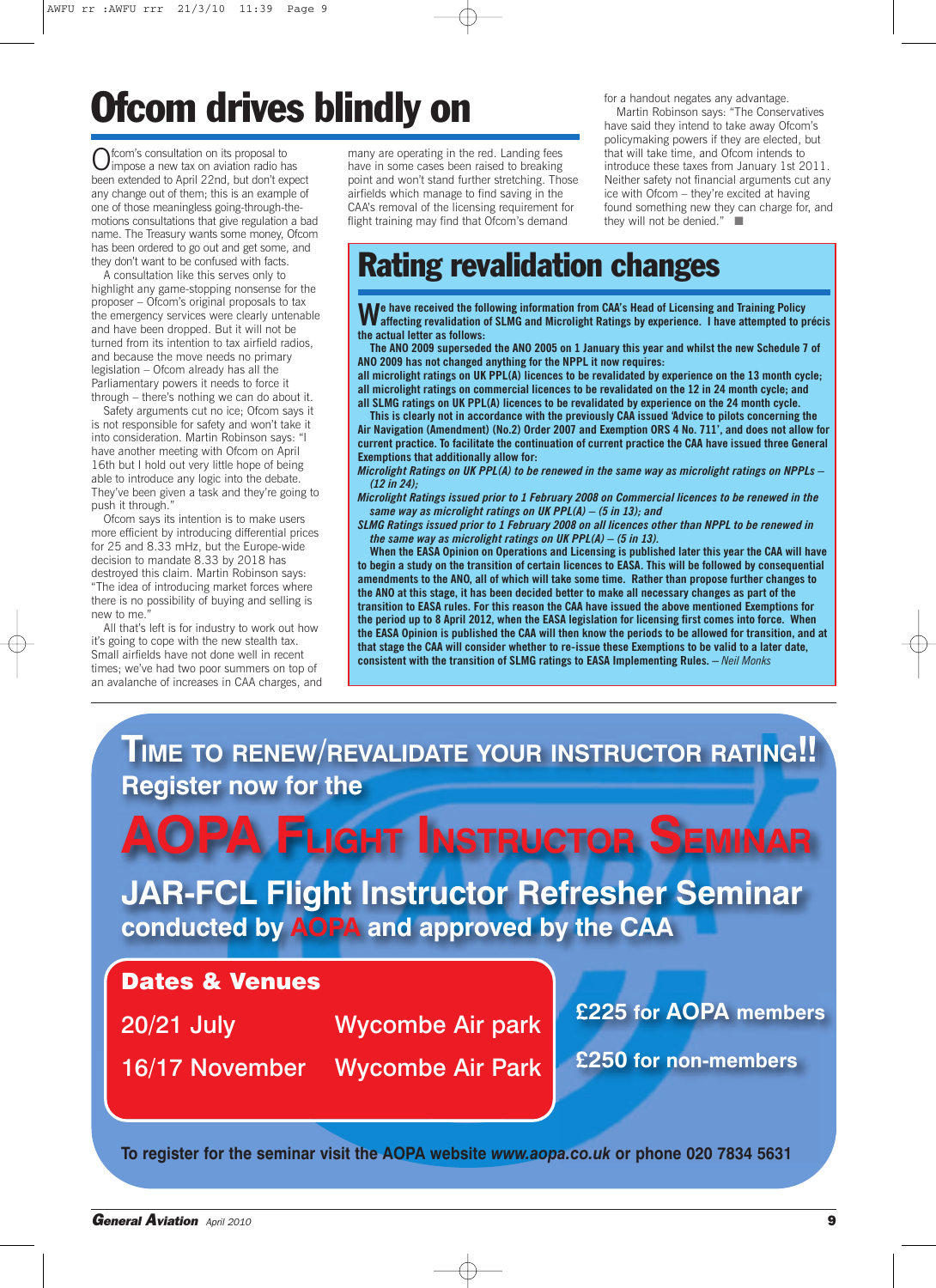# **Ofcom drives blindly on**

Ofcom's consultation on its proposal to<br>impose a new tax on aviation radio has been extended to April 22nd, but don't expect any change out of them; this is an example of one of those meaningless going-through-themotions consultations that give regulation a bad name. The Treasury wants some money, Ofcom has been ordered to go out and get some, and they don't want to be confused with facts.

A consultation like this serves only to highlight any game-stopping nonsense for the proposer – Ofcom's original proposals to tax the emergency services were clearly untenable and have been dropped. But it will not be turned from its intention to tax airfield radios, and because the move needs no primary legislation – Ofcom already has all the Parliamentary powers it needs to force it through – there's nothing we can do about it.

Safety arguments cut no ice; Ofcom says it is not responsible for safety and won't take it into consideration. Martin Robinson says: "I have another meeting with Ofcom on April 16th but I hold out very little hope of being able to introduce any logic into the debate. They've been given a task and they're going to push it through.

Ofcom says its intention is to make users more efficient by introducing differential prices for 25 and 8.33 mHz, but the Europe-wide decision to mandate 8.33 by 2018 has destroyed this claim. Martin Robinson says: "The idea of introducing market forces where there is no possibility of buying and selling is new to me.

All that's left is for industry to work out how it's going to cope with the new stealth tax. Small airfields have not done well in recent times; we've had two poor summers on top of an avalanche of increases in CAA charges, and

many are operating in the red. Landing fees have in some cases been raised to breaking point and won't stand further stretching. Those airfields which manage to find saving in the CAA's removal of the licensing requirement for flight training may find that Ofcom's demand

for a handout negates any advantage.

Martin Robinson says: "The Conservatives have said they intend to take away Ofcom's policymaking powers if they are elected, but that will take time, and Ofcom intends to introduce these taxes from January 1st 2011. Neither safety not financial arguments cut any ice with Ofcom – they're excited at having found something new they can charge for, and they will not be denied." ■

## **Rating revalidation changes**

**We have received the following information from CAA's Head of Licensing and Training Policy affecting revalidation of SLMG and Microlight Ratings by experience. I have attempted to précis the actual letter as follows:**

The ANO 2009 superseded the ANO 2005 on 1 January this year and whilst the new Schedule 7 of **ANO 2009 has not changed anything for the NPPL it now requires:**

**all microlight ratings on UK PPL(A) licences to be revalidated by experience on the 13 month cycle; all microlight ratings on commercial licences to be revalidated on the 12 in 24 month cycle; and all SLMG ratings on UK PPL(A) licences to be revalidated by experience on the 24 month cycle.**

**This is clearly not in accordance with the previously CAA issued 'Advice to pilots concerning the Air Navigation (Amendment) (No.2) Order 2007 and Exemption ORS 4 No. 711', and does not allow for current practice. To facilitate the continuation of current practice the CAA have issued three General Exemptions that additionally allow for:**

*Microlight Ratings on UK PPL(A) to be renewed in the same way as microlight ratings on NPPLs – (12 in 24);*

*Microlight Ratings issued prior to 1 February 2008 on Commercial licences to be renewed in the same way as microlight ratings on UK PPL(A) – (5 in 13); and*

*SLMG Ratings issued prior to 1 February 2008 on all licences other than NPPL to be renewed in the same way as microlight ratings on UK PPL(A) – (5 in 13).*

**When the EASA Opinion on Operations and Licensing is published later this year the CAA will have** to begin a study on the transition of certain licences to EASA. This will be followed by consequential **amendments to the ANO, all of which will take some time. Rather than propose further changes to** the ANO at this stage, it has been decided better to make all necessary changes as part of the **transition to EASA rules. For this reason the CAA have issued the above mentioned Exemptions for** the period up to 8 April 2012, when the EASA legislation for licensing first comes into force. When the EASA Opinion is published the CAA will then know the periods to be allowed for transition, and at **that stage the CAA will consider whether to re-issue these Exemptions to be valid to a later date, consistent with the transition of SLMG ratings to EASA Implementing Rules. –** *Neil Monks*

**TIME TO RENEW/REVALIDATE YOUR INSTRUCTOR RATING!! Register now for the**

**AOPA FLIGHT INSTRUCTOR SEMINAR**

**AND THEST CAN**<br> **ACCESSIBLE SET ASSESS**<br>
And approved by the CAA **JAR-FCL Flight Instructor Refresher Seminar conducted by AOPA and approved by the CAA**

## **Dates & Venues**

20/21 July Wycombe Air park

16/17 November Wycombe Air Park

**£250 for non-members**

**£225 for AOPA members**

**To register for the seminar visit the AOPA website** *www.aopa.co.uk* **or phone 020 7834 5631**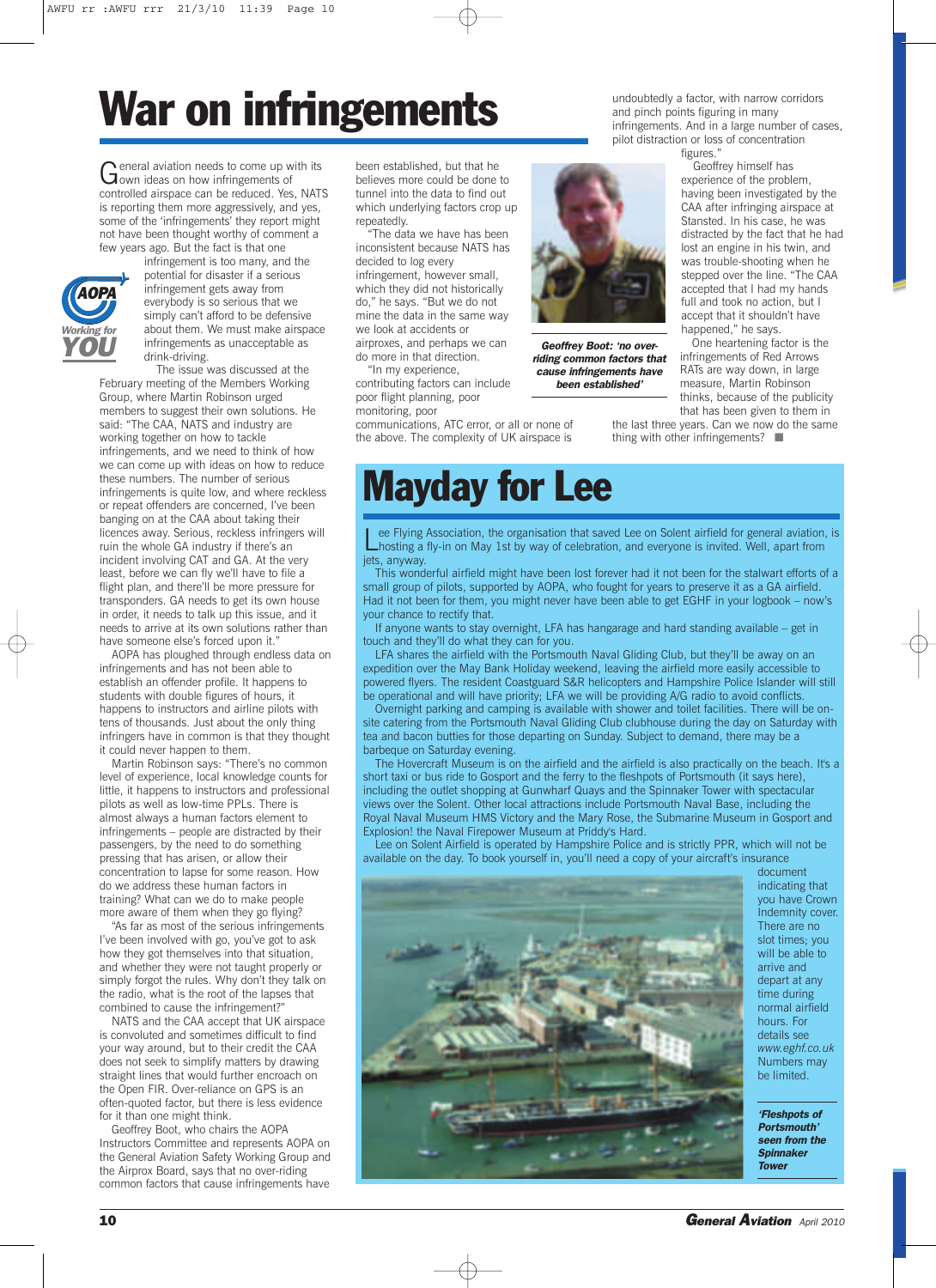# **War on infringements**

General aviation needs to come up with its<br>Gown ideas on how infringements of controlled airspace can be reduced. Yes, NATS is reporting them more aggressively, and yes, some of the 'infringements' they report might not have been thought worthy of comment a few years ago. But the fact is that one



infringement is too many, and the potential for disaster if a serious infringement gets away from everybody is so serious that we simply can't afford to be defensive about them. We must make airspace infringements as unacceptable as drink-driving. The issue was discussed at the

February meeting of the Members Working Group, where Martin Robinson urged members to suggest their own solutions. He said: "The CAA, NATS and industry are working together on how to tackle infringements, and we need to think of how we can come up with ideas on how to reduce these numbers. The number of serious infringements is quite low, and where reckless or repeat offenders are concerned, I've been banging on at the CAA about taking their licences away. Serious, reckless infringers will ruin the whole GA industry if there's an incident involving CAT and GA. At the very least, before we can fly we'll have to file a flight plan, and there'll be more pressure for transponders. GA needs to get its own house in order, it needs to talk up this issue, and it needs to arrive at its own solutions rather than have someone else's forced upon it."

AOPA has ploughed through endless data on infringements and has not been able to establish an offender profile. It happens to students with double figures of hours, it happens to instructors and airline pilots with tens of thousands. Just about the only thing infringers have in common is that they thought it could never happen to them.

Martin Robinson says: "There's no common level of experience, local knowledge counts for little, it happens to instructors and professional pilots as well as low-time PPLs. There is almost always a human factors element to infringements – people are distracted by their passengers, by the need to do something pressing that has arisen, or allow their concentration to lapse for some reason. How do we address these human factors in training? What can we do to make people more aware of them when they go flying?

"As far as most of the serious infringements I've been involved with go, you've got to ask how they got themselves into that situation, and whether they were not taught properly or simply forgot the rules. Why don't they talk on the radio, what is the root of the lapses that combined to cause the infringement?"

NATS and the CAA accept that UK airspace is convoluted and sometimes difficult to find your way around, but to their credit the CAA does not seek to simplify matters by drawing straight lines that would further encroach on the Open FIR. Over-reliance on GPS is an often-quoted factor, but there is less evidence for it than one might think.

Geoffrey Boot, who chairs the AOPA Instructors Committee and represents AOPA on the General Aviation Safety Working Group and the Airprox Board, says that no over-riding common factors that cause infringements have

been established, but that he believes more could be done to tunnel into the data to find out which underlying factors crop up repeatedly.

"The data we have has been inconsistent because NATS has decided to log every infringement, however small, which they did not historically do," he says. "But we do not mine the data in the same way we look at accidents or airproxes, and perhaps we can do more in that direction.

"In my experience, contributing factors can include poor flight planning, poor

monitoring, poor communications, ATC error, or all or none of the above. The complexity of UK airspace is undoubtedly a factor, with narrow corridors and pinch points figuring in many infringements. And in a large number of cases, pilot distraction or loss of concentration

figures."

Geoffrey himself has experience of the problem, having been investigated by the CAA after infringing airspace at Stansted. In his case, he was distracted by the fact that he had lost an engine in his twin, and was trouble-shooting when he stepped over the line. "The CAA accepted that I had my hands full and took no action, but I accept that it shouldn't have happened," he says.

One heartening factor is the infringements of Red Arrows RATs are way down, in large measure, Martin Robinson thinks, because of the publicity that has been given to them in

the last three years. Can we now do the same thing with other infringements? ■

# **Mayday for Lee**

Lee Flying Association, the organisation that saved Lee on Solent airfield for general aviation, is<br>hosting a fly-in on May 1st by way of celebration, and everyone is invited. Well, apart from jets, anyway.

*Geoffrey Boot: 'no overriding common factors that cause infringements have been established'*

This wonderful airfield might have been lost forever had it not been for the stalwart efforts of a small group of pilots, supported by AOPA, who fought for years to preserve it as a GA airfield. Had it not been for them, you might never have been able to get EGHF in your logbook – now's your chance to rectify that.

If anyone wants to stay overnight, LFA has hangarage and hard standing available – get in touch and they'll do what they can for you.

LFA shares the airfield with the Portsmouth Naval Gliding Club, but they'll be away on an expedition over the May Bank Holiday weekend, leaving the airfield more easily accessible to powered flyers. The resident Coastguard S&R helicopters and Hampshire Police Islander will still be operational and will have priority; LFA we will be providing A/G radio to avoid conflicts

Overnight parking and camping is available with shower and toilet facilities. There will be onsite catering from the Portsmouth Naval Gliding Club clubhouse during the day on Saturday with tea and bacon butties for those departing on Sunday. Subject to demand, there may be a barbeque on Saturday evening.

The Hovercraft Museum is on the airfield and the airfield is also practically on the beach. It's a short taxi or bus ride to Gosport and the ferry to the fleshpots of Portsmouth (it says here), including the outlet shopping at Gunwharf Quays and the Spinnaker Tower with spectacular views over the Solent. Other local attractions include Portsmouth Naval Base, including the Royal Naval Museum HMS Victory and the Mary Rose, the Submarine Museum in Gosport and Explosion! the Naval Firepower Museum at Priddy's Hard.

Lee on Solent Airfield is operated by Hampshire Police and is strictly PPR, which will not be available on the day. To book yourself in, you'll need a copy of your aircraft's insurance



document indicating that you have Crown Indemnity cover. There are no slot times; you will be able to arrive and depart at any time during normal airfield hours. For details see *www.eghf.co.uk* Numbers may be limited.

*'Fleshpots of Portsmouth' seen from the Spinnaker Tower*

**10** *General Aviation April <sup>2010</sup>*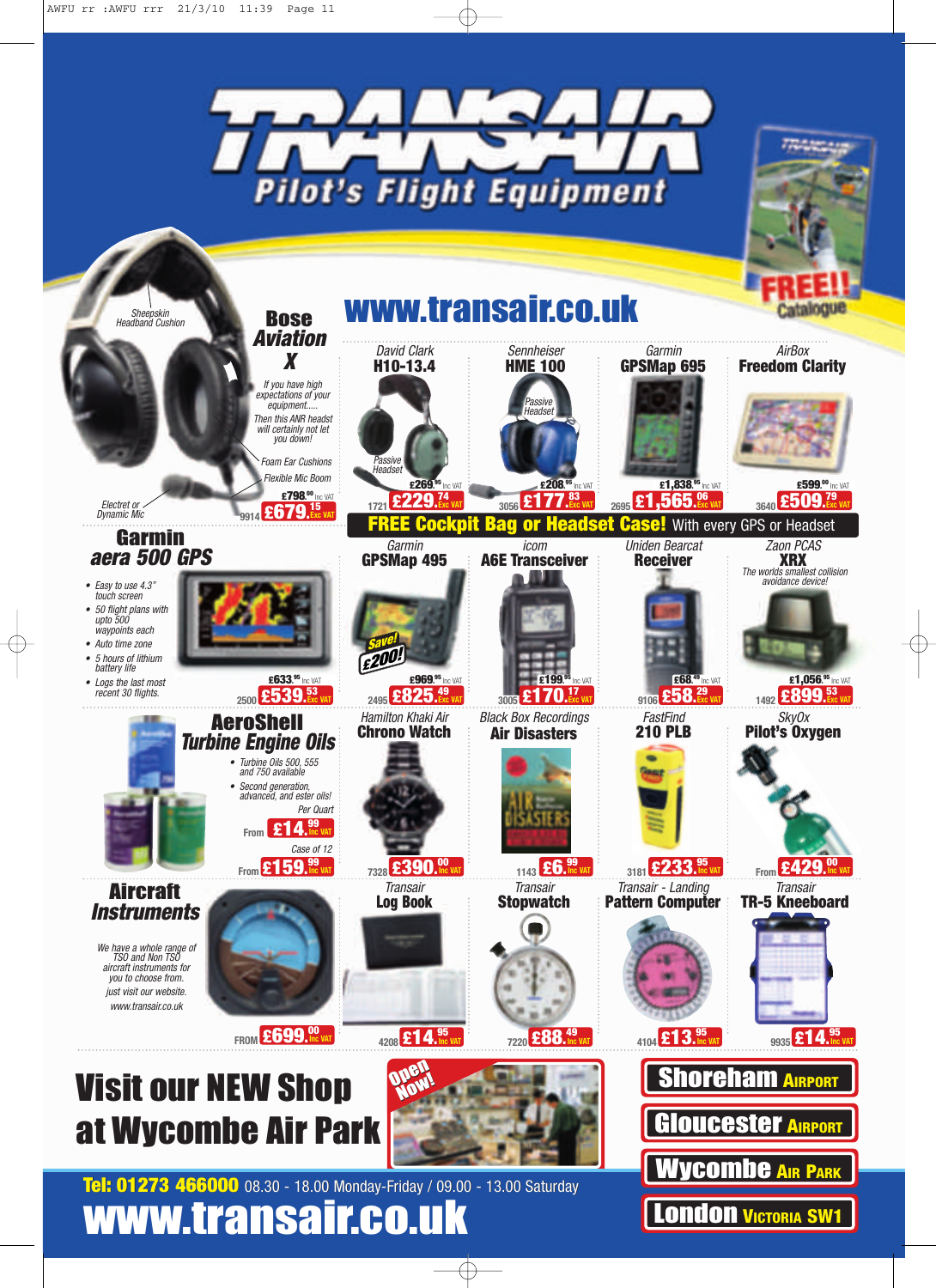

**London VICTORIA SW1**

**www.transair.co.uk**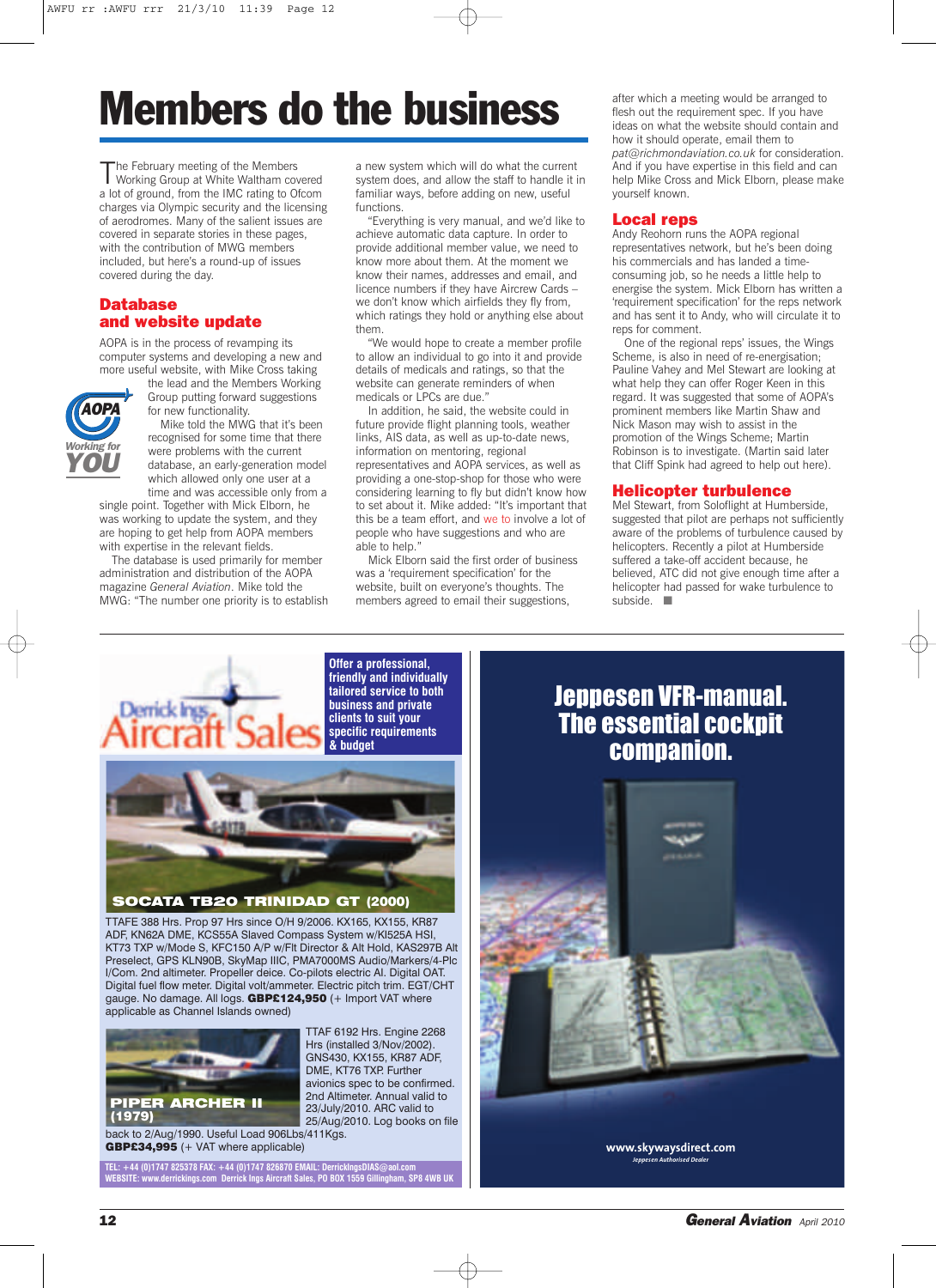# **Members do the business**

The February meeting of the Members<br>Working Group at White Waltham covered a lot of ground, from the IMC rating to Ofcom charges via Olympic security and the licensing of aerodromes. Many of the salient issues are covered in separate stories in these pages, with the contribution of MWG members included, but here's a round-up of issues covered during the day.

### **Database and website update**

AOPA is in the process of revamping its computer systems and developing a new and more useful website, with Mike Cross taking



the lead and the Members Working Group putting forward suggestions for new functionality. Mike told the MWG that it's been recognised for some time that there

were problems with the current database, an early-generation model which allowed only one user at a time and was accessible only from a

single point. Together with Mick Elborn, he was working to update the system, and they are hoping to get help from AOPA members with expertise in the relevant fields.

The database is used primarily for member administration and distribution of the AOPA magazine *General Aviation*. Mike told the MWG: "The number one priority is to establish a new system which will do what the current system does, and allow the staff to handle it in familiar ways, before adding on new, useful functions.

"Everything is very manual, and we'd like to achieve automatic data capture. In order to provide additional member value, we need to know more about them. At the moment we know their names, addresses and email, and licence numbers if they have Aircrew Cards – we don't know which airfields they fly from, which ratings they hold or anything else about them.

"We would hope to create a member profile to allow an individual to go into it and provide details of medicals and ratings, so that the website can generate reminders of when medicals or LPCs are due."

In addition, he said, the website could in future provide flight planning tools, weather links, AIS data, as well as up-to-date news, information on mentoring, regional representatives and AOPA services, as well as providing a one-stop-shop for those who were considering learning to fly but didn't know how to set about it. Mike added: "It's important that this be a team effort, and we to involve a lot of people who have suggestions and who are able to help."

Mick Elborn said the first order of business was a 'requirement specification' for the website, built on everyone's thoughts. The members agreed to email their suggestions,

a

after which a meeting would be arranged to flesh out the requirement spec. If you have ideas on what the website should contain and how it should operate, email them to *pat@richmondaviation.co.uk* for consideration. And if you have expertise in this field and can help Mike Cross and Mick Elborn, please make yourself known.

#### **Local reps**

Andy Reohorn runs the AOPA regional representatives network, but he's been doing his commercials and has landed a timeconsuming job, so he needs a little help to energise the system. Mick Elborn has written a 'requirement specification' for the reps network and has sent it to Andy, who will circulate it to reps for comment.

One of the regional reps' issues, the Wings Scheme, is also in need of re-energisation; Pauline Vahey and Mel Stewart are looking at what help they can offer Roger Keen in this regard. It was suggested that some of AOPA's prominent members like Martin Shaw and Nick Mason may wish to assist in the promotion of the Wings Scheme; Martin Robinson is to investigate. (Martin said later that Cliff Spink had agreed to help out here).

#### **Helicopter turbulence**

Mel Stewart, from Soloflight at Humberside, suggested that pilot are perhaps not sufficiently aware of the problems of turbulence caused by helicopters. Recently a pilot at Humberside suffered a take-off accident because, he believed, ATC did not give enough time after a helicopter had passed for wake turbulence to subside. ■

**Offer a professional,** Derrick Inss

**friendly and individually tailored service to both business and private clients to suit your specific requirements & budget**



**SOCATA TB20 TRINIDAD GT (2000)**

TTAFE 388 Hrs. Prop 97 Hrs since O/H 9/2006. KX165, KX155, KR87 ADF, KN62A DME, KCS55A Slaved Compass System w/KI525A HSI, KT73 TXP w/Mode S, KFC150 A/P w/Flt Director & Alt Hold, KAS297B Alt Preselect, GPS KLN90B, SkyMap IIIC, PMA7000MS Audio/Markers/4-Plc I/Com. 2nd altimeter. Propeller deice. Co-pilots electric AI. Digital OAT. Digital fuel flow meter. Digital volt/ammeter. Electric pitch trim. EGT/CHT gauge. No damage. All logs. **GBP£124,950** (+ Import VAT where applicable as Channel Islands owned)



TTAF 6192 Hrs. Engine 2268 Hrs (installed 3/Nov/2002). GNS430, KX155, KR87 ADF, DME, KT76 TXP. Further avionics spec to be confirmed. 2nd Altimeter. Annual valid to 23/July/2010. ARC valid to 25/Aug/2010. Log books on file back to 2/Aug/1990. Useful Load 906Lbs/411Kgs. **GBP£34,995** (+ VAT where applicable)

**TEL: +44 (0)1747 825378 FAX: +44 (0)1747 826870 EMAIL: DerrickIngsDIAS@aol.com WEBSITE: www.derrickings.com Derrick Ings Aircraft Sales, PO BOX 1559 Gillingham, SP8 4WB UK**

## Jeppesen VFR-manual. The essential cockpit companion.

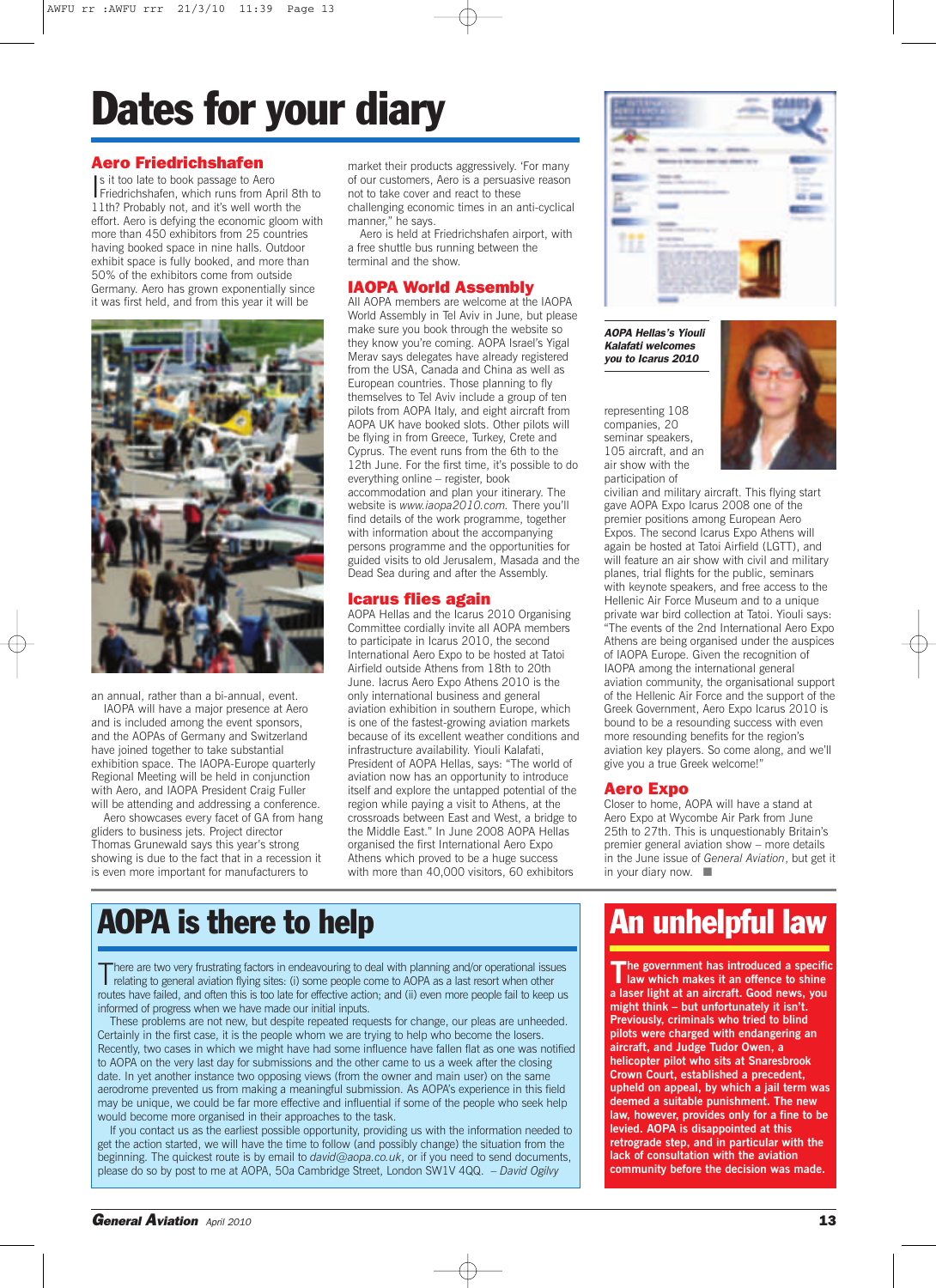# **Dates for your diary**

### **Aero Friedrichshafen**

Is it too late to book passage to Aero<br>Friedrichshafen, which runs from A Friedrichshafen, which runs from April 8th to 11th? Probably not, and it's well worth the effort. Aero is defying the economic gloom with more than 450 exhibitors from 25 countries having booked space in nine halls. Outdoor exhibit space is fully booked, and more than 50% of the exhibitors come from outside Germany. Aero has grown exponentially since it was first held, and from this year it will be



an annual, rather than a bi-annual, event.

IAOPA will have a major presence at Aero and is included among the event sponsors, and the AOPAs of Germany and Switzerland have joined together to take substantial exhibition space. The IAOPA-Europe quarterly Regional Meeting will be held in conjunction with Aero, and IAOPA President Craig Fuller will be attending and addressing a conference.

Aero showcases every facet of GA from hang gliders to business jets. Project director Thomas Grunewald says this year's strong showing is due to the fact that in a recession it is even more important for manufacturers to

market their products aggressively. 'For many of our customers, Aero is a persuasive reason not to take cover and react to these challenging economic times in an anti-cyclical manner," he says.

Aero is held at Friedrichshafen airport, with a free shuttle bus running between the terminal and the show.

### **IAOPA World Assembly**

All AOPA members are welcome at the IAOPA World Assembly in Tel Aviv in June, but please make sure you book through the website so they know you're coming. AOPA Israel's Yigal Merav says delegates have already registered from the USA, Canada and China as well as European countries. Those planning to fly themselves to Tel Aviv include a group of ten pilots from AOPA Italy, and eight aircraft from AOPA UK have booked slots. Other pilots will be flying in from Greece, Turkey, Crete and Cyprus. The event runs from the 6th to the 12th June. For the first time, it's possible to do everything online – register, book accommodation and plan your itinerary. The website is *www.iaopa2010.com.* There you'll find details of the work programme, together with information about the accompanying persons programme and the opportunities for guided visits to old Jerusalem, Masada and the Dead Sea during and after the Assembly.

### **Icarus flies again**

AOPA Hellas and the Icarus 2010 Organising Committee cordially invite all AOPA members to participate in Icarus 2010, the second International Aero Expo to be hosted at Tatoi Airfield outside Athens from 18th to 20th June. Iacrus Aero Expo Athens 2010 is the only international business and general aviation exhibition in southern Europe, which is one of the fastest-growing aviation markets because of its excellent weather conditions and infrastructure availability. Yiouli Kalafati, President of AOPA Hellas, says: "The world of aviation now has an opportunity to introduce itself and explore the untapped potential of the region while paying a visit to Athens, at the crossroads between East and West, a bridge to the Middle East." In June 2008 AOPA Hellas organised the first International Aero Expo Athens which proved to be a huge success with more than 40,000 visitors, 60 exhibitors



*AOPA Hellas's Yiouli Kalafati welcomes you to Icarus 2010*

representing 108 companies, 20 seminar speakers, 105 aircraft, and an air show with the participation of



civilian and military aircraft. This flying start gave AOPA Expo Icarus 2008 one of the premier positions among European Aero Expos. The second Icarus Expo Athens will again be hosted at Tatoi Airfield (LGTT), and will feature an air show with civil and military planes, trial flights for the public, seminars with keynote speakers, and free access to the Hellenic Air Force Museum and to a unique private war bird collection at Tatoi. Yiouli says: "The events of the 2nd International Aero Expo Athens are being organised under the auspices of IAOPA Europe. Given the recognition of IAOPA among the international general aviation community, the organisational support of the Hellenic Air Force and the support of the Greek Government, Aero Expo Icarus 2010 is bound to be a resounding success with even more resounding benefits for the region's aviation key players. So come along, and we'll give you a true Greek welcome!"

### **Aero Expo**

Closer to home, AOPA will have a stand at Aero Expo at Wycombe Air Park from June 25th to 27th. This is unquestionably Britain's premier general aviation show – more details in the June issue of *General Aviation*, but get it in your diary now. ■

## **AOPA is there to help**

There are two very frustrating factors in endeavouring to deal with planning and/or operational issues<br>relating to general aviation flying sites: (i) some people come to AOPA as a last resort when other routes have failed, and often this is too late for effective action; and (ii) even more people fail to keep us informed of progress when we have made our initial inputs.

These problems are not new, but despite repeated requests for change, our pleas are unheeded. Certainly in the first case, it is the people whom we are trying to help who become the losers. Recently, two cases in which we might have had some influence have fallen flat as one was notified to AOPA on the very last day for submissions and the other came to us a week after the closing date. In yet another instance two opposing views (from the owner and main user) on the same aerodrome prevented us from making a meaningful submission. As AOPA's experience in this field may be unique, we could be far more effective and influential if some of the people who seek help would become more organised in their approaches to the task.

If you contact us as the earliest possible opportunity, providing us with the information needed to get the action started, we will have the time to follow (and possibly change) the situation from the beginning. The quickest route is by email to *david@aopa.co.uk*, or if you need to send documents, please do so by post to me at AOPA, 50a Cambridge Street, London SW1V 4QQ. – *David Ogilvy*

# **An unhelpful law**

**The government has introduced <sup>a</sup> specific law which makes it an offence to shine a laser light at an aircraft. Good news, you might think – but unfortunately it isn't. Previously, criminals who tried to blind pilots were charged with endangering an aircraft, and Judge Tudor Owen, a helicopter pilot who sits at Snaresbrook Crown Court, established a precedent, upheld on appeal, by which a jail term was deemed a suitable punishment. The new law, however, provides only for a fine to be levied. AOPA is disappointed at this retrograde step, and in particular with the lack of consultation with the aviation community before the decision was made.**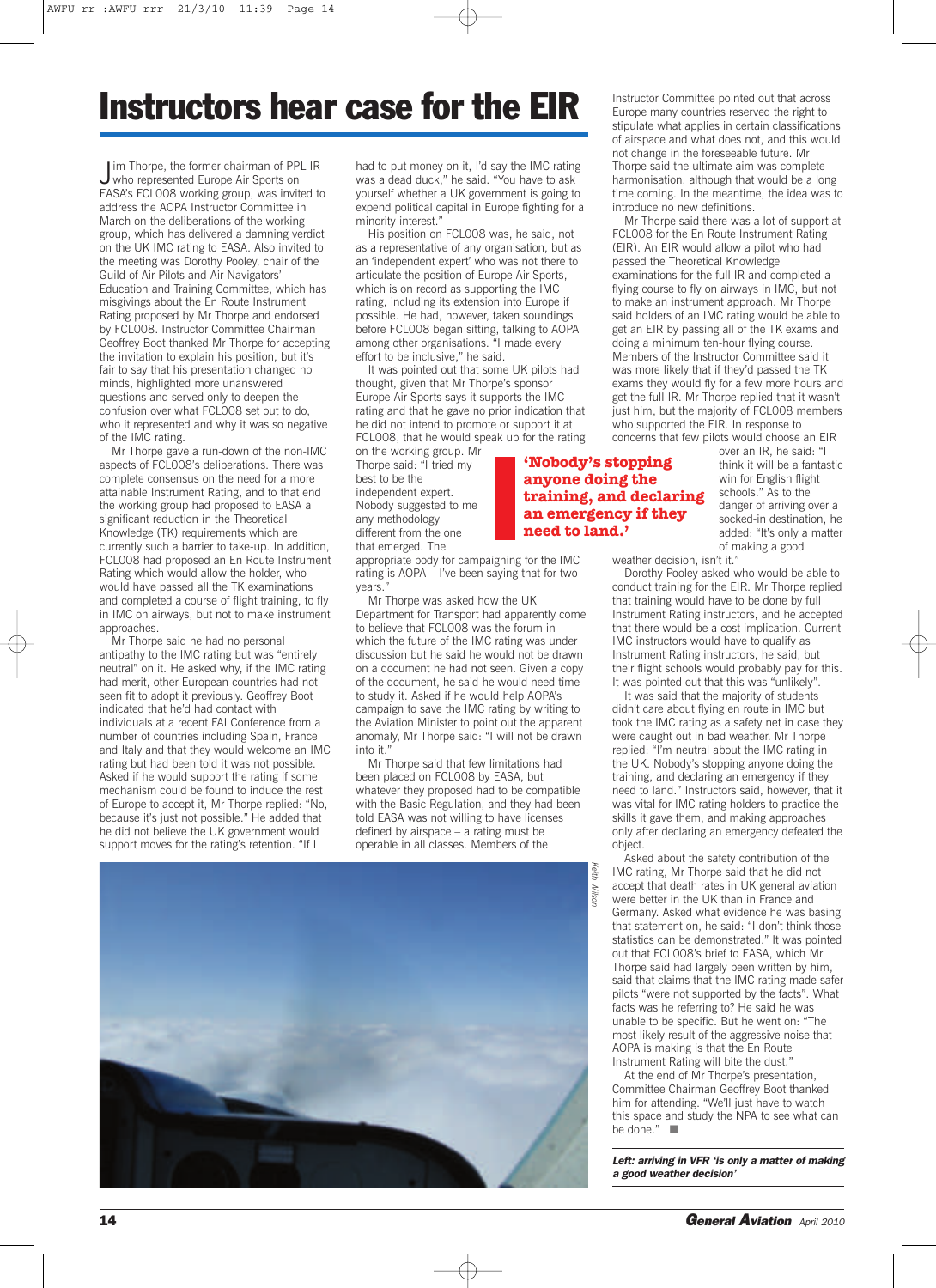# **Instructors hear case for the EIR**

J im Thorpe, the former chairman of PPL IR<br>who represented Europe Air Sports on who represented Europe Air Sports on EASA's FCL008 working group, was invited to address the AOPA Instructor Committee in March on the deliberations of the working group, which has delivered a damning verdict on the UK IMC rating to EASA. Also invited to the meeting was Dorothy Pooley, chair of the Guild of Air Pilots and Air Navigators' Education and Training Committee, which has misgivings about the En Route Instrument Rating proposed by Mr Thorpe and endorsed by FCL008. Instructor Committee Chairman Geoffrey Boot thanked Mr Thorpe for accepting the invitation to explain his position, but it's fair to say that his presentation changed no minds, highlighted more unanswered questions and served only to deepen the confusion over what FCL008 set out to do, who it represented and why it was so negative of the IMC rating.

Mr Thorpe gave a run-down of the non-IMC aspects of FCL008's deliberations. There was complete consensus on the need for a more attainable Instrument Rating, and to that end the working group had proposed to EASA a significant reduction in the Theoretical Knowledge (TK) requirements which are currently such a barrier to take-up. In addition, FCL008 had proposed an En Route Instrument Rating which would allow the holder, who would have passed all the TK examinations and completed a course of flight training, to fly in IMC on airways, but not to make instrument approaches.

Mr Thorpe said he had no personal antipathy to the IMC rating but was "entirely neutral" on it. He asked why, if the IMC rating had merit, other European countries had not seen fit to adopt it previously. Geoffrey Boot indicated that he'd had contact with individuals at a recent FAI Conference from a number of countries including Spain, France and Italy and that they would welcome an IMC rating but had been told it was not possible. Asked if he would support the rating if some mechanism could be found to induce the rest of Europe to accept it, Mr Thorpe replied: "No, because it's just not possible." He added that he did not believe the UK government would support moves for the rating's retention. "If I

had to put money on it, I'd say the IMC rating was a dead duck," he said. "You have to ask yourself whether a UK government is going to expend political capital in Europe fighting for a minority interest."

His position on FCL008 was, he said, not as a representative of any organisation, but as an 'independent expert' who was not there to articulate the position of Europe Air Sports, which is on record as supporting the IMC rating, including its extension into Europe if possible. He had, however, taken soundings before FCL008 began sitting, talking to AOPA among other organisations. "I made every effort to be inclusive," he said.

It was pointed out that some UK pilots had thought, given that Mr Thorpe's sponsor Europe Air Sports says it supports the IMC rating and that he gave no prior indication that he did not intend to promote or support it at FCL008, that he would speak up for the rating

on the working group. Mr Thorpe said: "I tried my best to be the independent expert. Nobody suggested to me any methodology different from the one that emerged. The

appropriate body for campaigning for the IMC rating is AOPA – I've been saying that for two vears

Mr Thorpe was asked how the UK Department for Transport had apparently come to believe that FCL008 was the forum in which the future of the IMC rating was under discussion but he said he would not be drawn on a document he had not seen. Given a copy of the document, he said he would need time to study it. Asked if he would help AOPA's campaign to save the IMC rating by writing to the Aviation Minister to point out the apparent anomaly, Mr Thorpe said: "I will not be drawn into it.

Mr Thorpe said that few limitations had been placed on FCL008 by EASA, but whatever they proposed had to be compatible with the Basic Regulation, and they had been told EASA was not willing to have licenses defined by airspace – a rating must be operable in all classes. Members of the



Instructor Committee pointed out that across Europe many countries reserved the right to stipulate what applies in certain classifications of airspace and what does not, and this would not change in the foreseeable future. Mr Thorpe said the ultimate aim was complete harmonisation, although that would be a long time coming. In the meantime, the idea was to introduce no new definitions.

Mr Thorpe said there was a lot of support at FCL008 for the En Route Instrument Rating (EIR). An EIR would allow a pilot who had passed the Theoretical Knowledge examinations for the full IR and completed a flying course to fly on airways in IMC, but not to make an instrument approach. Mr Thorpe said holders of an IMC rating would be able to get an EIR by passing all of the TK exams and doing a minimum ten-hour flying course. Members of the Instructor Committee said it was more likely that if they'd passed the TK exams they would fly for a few more hours and get the full IR. Mr Thorpe replied that it wasn't just him, but the majority of FCL008 members who supported the EIR. In response to concerns that few pilots would choose an EIR

**'Nobody's stopping anyone doing the training, and declaring an emergency if they need to land.'**

over an IR, he said: "I think it will be a fantastic win for English flight schools." As to the danger of arriving over a socked-in destination, he added: "It's only a matter of making a good

weather decision, isn't it.

Dorothy Pooley asked who would be able to conduct training for the EIR. Mr Thorpe replied that training would have to be done by full Instrument Rating instructors, and he accepted that there would be a cost implication. Current IMC instructors would have to qualify as Instrument Rating instructors, he said, but their flight schools would probably pay for this. It was pointed out that this was "unlikely".

It was said that the majority of students didn't care about flying en route in IMC but took the IMC rating as a safety net in case they were caught out in bad weather. Mr Thorpe replied: "I'm neutral about the IMC rating in the UK. Nobody's stopping anyone doing the training, and declaring an emergency if they need to land." Instructors said, however, that it was vital for IMC rating holders to practice the skills it gave them, and making approaches only after declaring an emergency defeated the object.

Asked about the safety contribution of the IMC rating, Mr Thorpe said that he did not accept that death rates in UK general aviation were better in the UK than in France and Germany. Asked what evidence he was basing that statement on, he said: "I don't think those statistics can be demonstrated." It was pointed out that FCL008's brief to EASA, which Mr Thorpe said had largely been written by him, said that claims that the IMC rating made safer pilots "were not supported by the facts". What facts was he referring to? He said he was unable to be specific. But he went on: "The most likely result of the aggressive noise that AOPA is making is that the En Route Instrument Rating will bite the dust."

At the end of Mr Thorpe's presentation, Committee Chairman Geoffrey Boot thanked him for attending. "We'll just have to watch this space and study the NPA to see what can be done." ■

*Left: arriving in VFR 'is only a matter of making a good weather decision'*